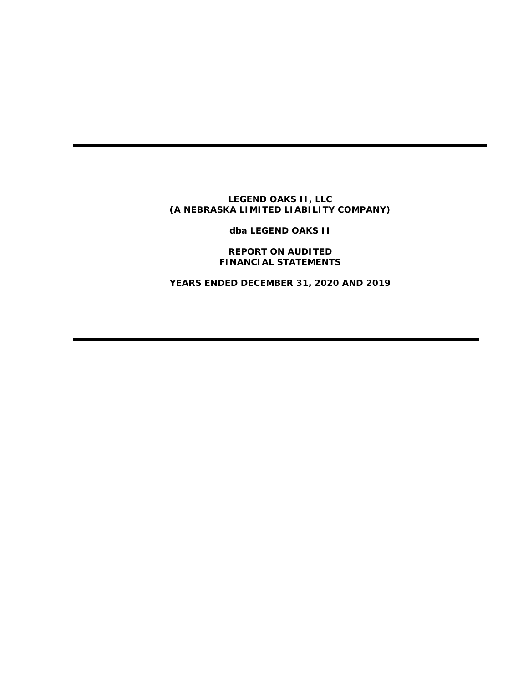#### **dba LEGEND OAKS II**

**REPORT ON AUDITED FINANCIAL STATEMENTS**

**YEARS ENDED DECEMBER 31, 2020 AND 2019**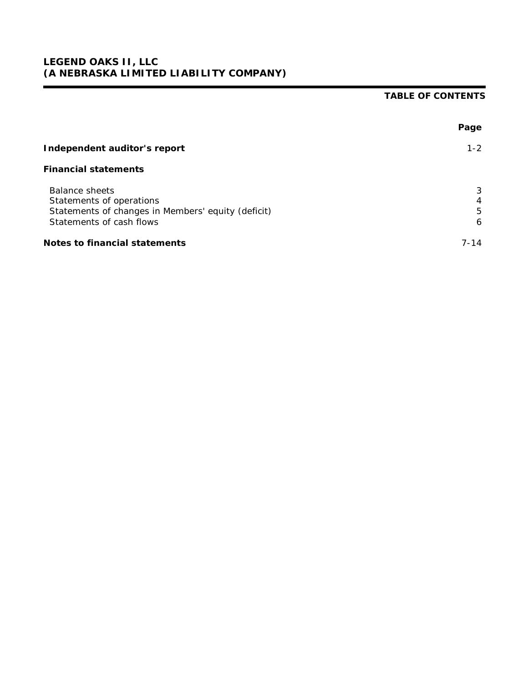# **TABLE OF CONTENTS**

|                                                                                | Page    |
|--------------------------------------------------------------------------------|---------|
| Independent auditor's report                                                   | $1 - 2$ |
| <b>Financial statements</b>                                                    |         |
| <b>Balance sheets</b><br>Statements of operations                              | 3<br>4  |
| Statements of changes in Members' equity (deficit)<br>Statements of cash flows | 5<br>6  |
| Notes to financial statements                                                  | 7-14    |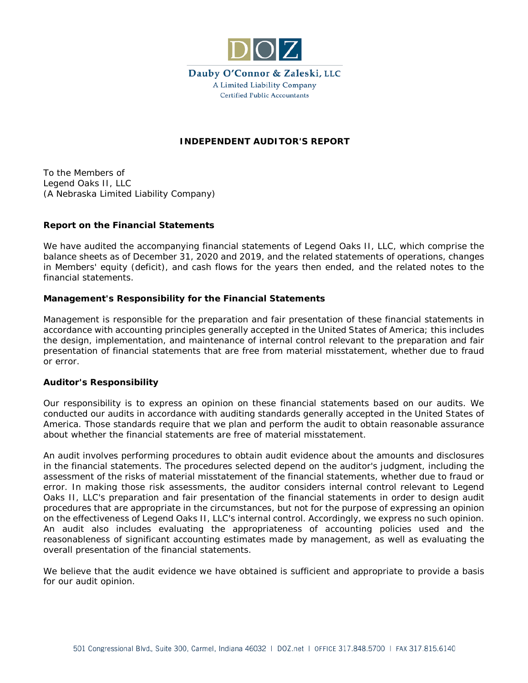

# **INDEPENDENT AUDITOR'S REPORT**

To the Members of Legend Oaks II, LLC (A Nebraska Limited Liability Company)

# **Report on the Financial Statements**

We have audited the accompanying financial statements of Legend Oaks II, LLC, which comprise the balance sheets as of December 31, 2020 and 2019, and the related statements of operations, changes in Members' equity (deficit), and cash flows for the years then ended, and the related notes to the financial statements.

# **Management's Responsibility for the Financial Statements**

Management is responsible for the preparation and fair presentation of these financial statements in accordance with accounting principles generally accepted in the United States of America; this includes the design, implementation, and maintenance of internal control relevant to the preparation and fair presentation of financial statements that are free from material misstatement, whether due to fraud or error.

# **Auditor's Responsibility**

Our responsibility is to express an opinion on these financial statements based on our audits. We conducted our audits in accordance with auditing standards generally accepted in the United States of America. Those standards require that we plan and perform the audit to obtain reasonable assurance about whether the financial statements are free of material misstatement.

An audit involves performing procedures to obtain audit evidence about the amounts and disclosures in the financial statements. The procedures selected depend on the auditor's judgment, including the assessment of the risks of material misstatement of the financial statements, whether due to fraud or error. In making those risk assessments, the auditor considers internal control relevant to Legend Oaks II, LLC's preparation and fair presentation of the financial statements in order to design audit procedures that are appropriate in the circumstances, but not for the purpose of expressing an opinion on the effectiveness of Legend Oaks II, LLC's internal control. Accordingly, we express no such opinion. An audit also includes evaluating the appropriateness of accounting policies used and the reasonableness of significant accounting estimates made by management, as well as evaluating the overall presentation of the financial statements.

We believe that the audit evidence we have obtained is sufficient and appropriate to provide a basis for our audit opinion.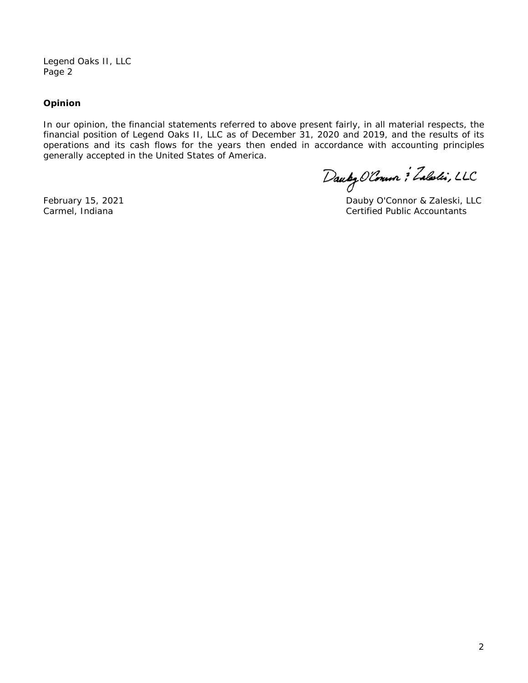Legend Oaks II, LLC Page 2

### **Opinion**

In our opinion, the financial statements referred to above present fairly, in all material respects, the financial position of Legend Oaks II, LLC as of December 31, 2020 and 2019, and the results of its operations and its cash flows for the years then ended in accordance with accounting principles generally accepted in the United States of America.

Dauby Olonno : Zaladi, LLC

February 15, 2021 **Dauby O'Connor & Zaleski, LLC** Carmel, Indiana Certified Public Accountants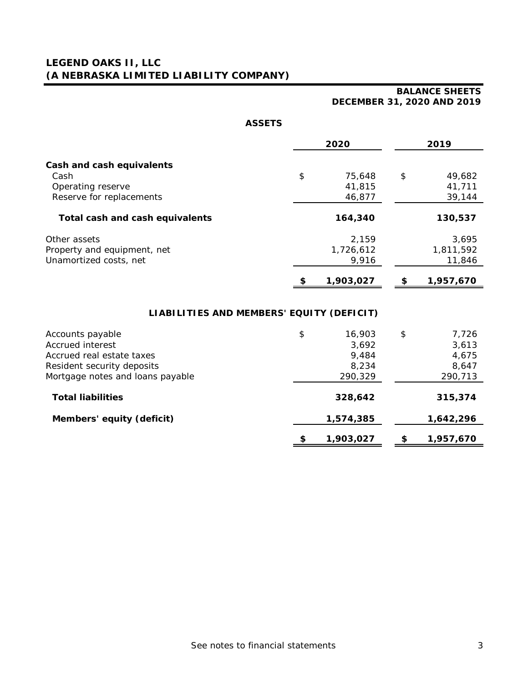# **BALANCE SHEETS DECEMBER 31, 2020 AND 2019**

| Λ<br>_<br>۰.<br>ுட<br>س . |  |
|---------------------------|--|
|---------------------------|--|

|                                 | 2020 |           | 2019            |  |
|---------------------------------|------|-----------|-----------------|--|
| Cash and cash equivalents       |      |           |                 |  |
| Cash                            | \$   | 75.648    | \$<br>49,682    |  |
| Operating reserve               |      | 41,815    | 41.711          |  |
| Reserve for replacements        |      | 46,877    | 39,144          |  |
| Total cash and cash equivalents |      | 164,340   | 130,537         |  |
| Other assets                    |      | 2.159     | 3,695           |  |
| Property and equipment, net     |      | 1,726,612 | 1,811,592       |  |
| Unamortized costs, net          |      | 9,916     | 11,846          |  |
|                                 | \$   | 1,903,027 | \$<br>1,957,670 |  |

# **LIABILITIES AND MEMBERS' EQUITY (DEFICIT)**

| Accounts payable                 | \$<br>16,903    | \$<br>7,726 |
|----------------------------------|-----------------|-------------|
| Accrued interest                 | 3,692           | 3,613       |
| Accrued real estate taxes        | 9,484           | 4,675       |
| Resident security deposits       | 8,234           | 8,647       |
| Mortgage notes and loans payable | 290,329         | 290,713     |
| <b>Total liabilities</b>         | 328,642         | 315,374     |
| Members' equity (deficit)        | 1,574,385       | 1,642,296   |
|                                  | \$<br>1,903,027 | 1,957,670   |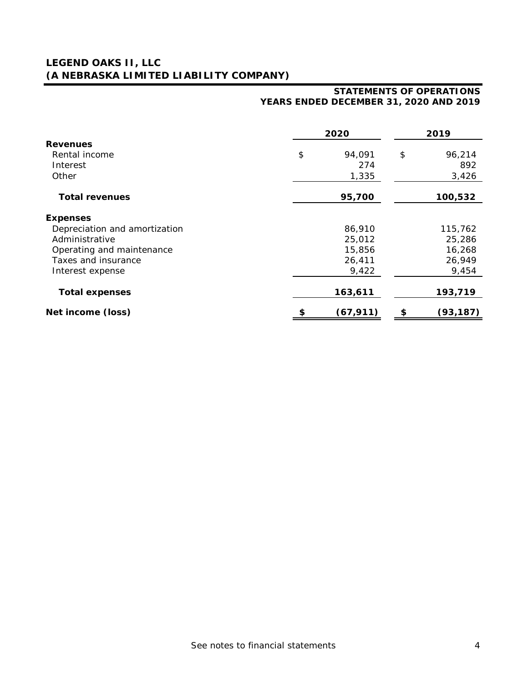# **STATEMENTS OF OPERATIONS YEARS ENDED DECEMBER 31, 2020 AND 2019**

|                               | 2020 |           | 2019         |  |
|-------------------------------|------|-----------|--------------|--|
| <b>Revenues</b>               |      |           |              |  |
| Rental income                 | \$   | 94,091    | \$<br>96,214 |  |
| Interest                      |      | 274       | 892          |  |
| Other                         |      | 1,335     | 3,426        |  |
| <b>Total revenues</b>         |      | 95,700    | 100,532      |  |
| <b>Expenses</b>               |      |           |              |  |
| Depreciation and amortization |      | 86,910    | 115,762      |  |
| Administrative                |      | 25,012    | 25,286       |  |
| Operating and maintenance     |      | 15,856    | 16,268       |  |
| Taxes and insurance           |      | 26,411    | 26,949       |  |
| Interest expense              |      | 9,422     | 9,454        |  |
| <b>Total expenses</b>         |      | 163,611   | 193,719      |  |
| Net income (loss)             | \$   | (67, 911) | (93, 187)    |  |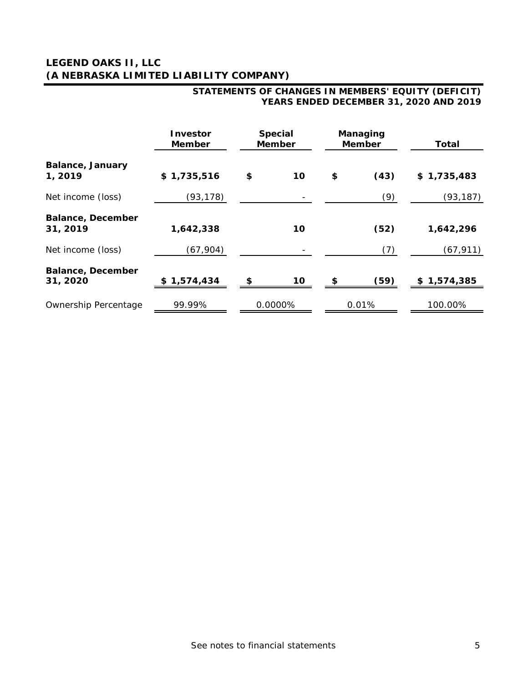# **STATEMENTS OF CHANGES IN MEMBERS' EQUITY (DEFICIT) YEARS ENDED DECEMBER 31, 2020 AND 2019**

|                                      | <b>Investor</b><br><b>Member</b> |                           | <b>Special</b><br><b>Member</b> | Managing<br><b>Member</b> | Total       |
|--------------------------------------|----------------------------------|---------------------------|---------------------------------|---------------------------|-------------|
| <b>Balance, January</b><br>1, 2019   | \$1,735,516                      | $\boldsymbol{\mathsf{s}}$ | 10                              | \$<br>(43)                | \$1,735,483 |
| Net income (loss)                    | (93, 178)                        |                           |                                 | (9)                       | (93, 187)   |
| <b>Balance, December</b><br>31, 2019 | 1,642,338                        |                           | 10                              | (52)                      | 1,642,296   |
| Net income (loss)                    | (67,904)                         |                           |                                 | (7)                       | (67, 911)   |
| <b>Balance, December</b><br>31, 2020 | \$1,574,434                      | \$                        | 10                              | \$<br>(59)                | \$1,574,385 |
| Ownership Percentage                 | 99.99%                           |                           | 0.0000%                         | 0.01%                     | 100.00%     |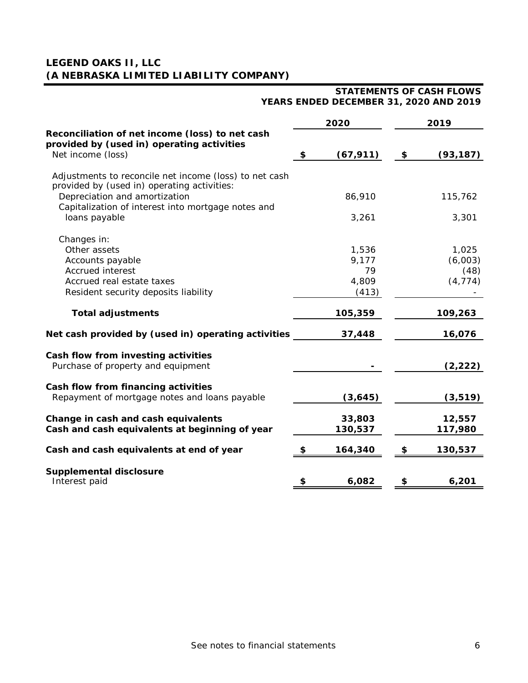|                                                                                                                    | 2020            | 2019            |
|--------------------------------------------------------------------------------------------------------------------|-----------------|-----------------|
| Reconciliation of net income (loss) to net cash<br>provided by (used in) operating activities<br>Net income (loss) | \$<br>(67, 911) | \$<br>(93, 187) |
| Adjustments to reconcile net income (loss) to net cash<br>provided by (used in) operating activities:              |                 |                 |
| Depreciation and amortization<br>Capitalization of interest into mortgage notes and                                | 86,910          | 115,762         |
| loans payable                                                                                                      | 3,261           | 3,301           |
| Changes in:                                                                                                        |                 |                 |
| Other assets                                                                                                       | 1,536           | 1,025           |
| Accounts payable                                                                                                   | 9,177           | (6,003)         |
| Accrued interest                                                                                                   | 79              | (48)            |
| Accrued real estate taxes                                                                                          | 4,809           | (4, 774)        |
| Resident security deposits liability                                                                               | (413)           |                 |
| <b>Total adjustments</b>                                                                                           | 105,359         | 109,263         |
| Net cash provided by (used in) operating activities                                                                | 37,448          | 16,076          |
| Cash flow from investing activities<br>Purchase of property and equipment                                          |                 | (2, 222)        |
| Cash flow from financing activities<br>Repayment of mortgage notes and loans payable                               | (3,645)         | (3, 519)        |
| Change in cash and cash equivalents                                                                                | 33,803          | 12,557          |
| Cash and cash equivalents at beginning of year                                                                     | 130,537         | 117,980         |
| Cash and cash equivalents at end of year                                                                           | \$<br>164,340   | \$<br>130,537   |
| <b>Supplemental disclosure</b>                                                                                     |                 |                 |
| Interest paid                                                                                                      | \$<br>6,082     | \$<br>6,201     |

#### **STATEMENTS OF CASH FLOWS YEARS ENDED DECEMBER 31, 2020 AND 2019**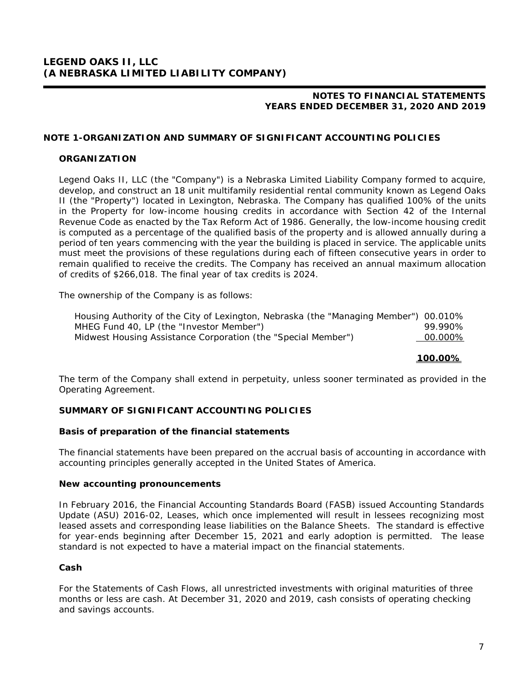# **NOTES TO FINANCIAL STATEMENTS YEARS ENDED DECEMBER 31, 2020 AND 2019**

# **NOTE 1-ORGANIZATION AND SUMMARY OF SIGNIFICANT ACCOUNTING POLICIES**

# **ORGANIZATION**

Legend Oaks II, LLC (the "Company") is a Nebraska Limited Liability Company formed to acquire, develop, and construct an 18 unit multifamily residential rental community known as Legend Oaks II (the "Property") located in Lexington, Nebraska. The Company has qualified 100% of the units in the Property for low-income housing credits in accordance with Section 42 of the Internal Revenue Code as enacted by the Tax Reform Act of 1986. Generally, the low-income housing credit is computed as a percentage of the qualified basis of the property and is allowed annually during a period of ten years commencing with the year the building is placed in service. The applicable units must meet the provisions of these regulations during each of fifteen consecutive years in order to remain qualified to receive the credits. The Company has received an annual maximum allocation of credits of \$266,018. The final year of tax credits is 2024.

The ownership of the Company is as follows:

| Housing Authority of the City of Lexington, Nebraska (the "Managing Member") 00.010% |         |
|--------------------------------------------------------------------------------------|---------|
| MHEG Fund 40, LP (the "Investor Member")                                             | 99.990% |
| Midwest Housing Assistance Corporation (the "Special Member")                        | 00.000% |

#### **100.00%**

The term of the Company shall extend in perpetuity, unless sooner terminated as provided in the Operating Agreement.

# **SUMMARY OF SIGNIFICANT ACCOUNTING POLICIES**

#### **Basis of preparation of the financial statements**

The financial statements have been prepared on the accrual basis of accounting in accordance with accounting principles generally accepted in the United States of America.

#### **New accounting pronouncements**

In February 2016, the Financial Accounting Standards Board (FASB) issued Accounting Standards Update (ASU) 2016-02, Leases, which once implemented will result in lessees recognizing most leased assets and corresponding lease liabilities on the Balance Sheets. The standard is effective for year-ends beginning after December 15, 2021 and early adoption is permitted. The lease standard is not expected to have a material impact on the financial statements.

# **Cash**

For the Statements of Cash Flows, all unrestricted investments with original maturities of three months or less are cash. At December 31, 2020 and 2019, cash consists of operating checking and savings accounts.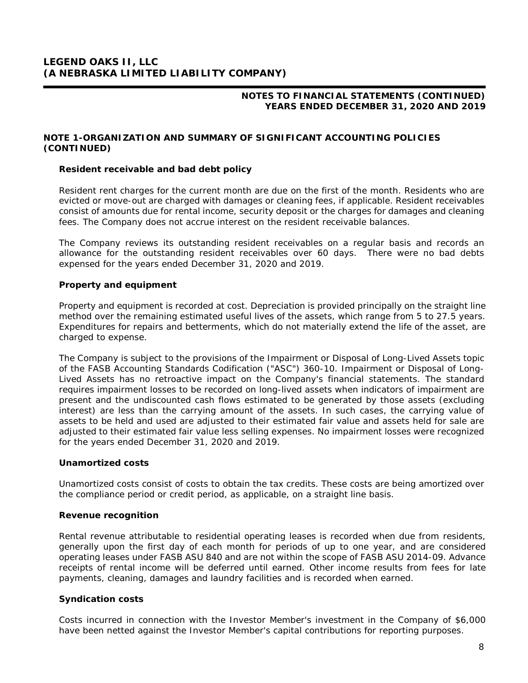# **NOTES TO FINANCIAL STATEMENTS (CONTINUED) YEARS ENDED DECEMBER 31, 2020 AND 2019**

# **NOTE 1-ORGANIZATION AND SUMMARY OF SIGNIFICANT ACCOUNTING POLICIES (CONTINUED)**

# **Resident receivable and bad debt policy**

Resident rent charges for the current month are due on the first of the month. Residents who are evicted or move-out are charged with damages or cleaning fees, if applicable. Resident receivables consist of amounts due for rental income, security deposit or the charges for damages and cleaning fees. The Company does not accrue interest on the resident receivable balances.

The Company reviews its outstanding resident receivables on a regular basis and records an allowance for the outstanding resident receivables over 60 days. There were no bad debts expensed for the years ended December 31, 2020 and 2019.

#### **Property and equipment**

Property and equipment is recorded at cost. Depreciation is provided principally on the straight line method over the remaining estimated useful lives of the assets, which range from 5 to 27.5 years. Expenditures for repairs and betterments, which do not materially extend the life of the asset, are charged to expense.

The Company is subject to the provisions of the Impairment or Disposal of Long-Lived Assets topic of the FASB *Accounting Standards Codification* ("ASC") 360-10. Impairment or Disposal of Long-Lived Assets has no retroactive impact on the Company's financial statements. The standard requires impairment losses to be recorded on long-lived assets when indicators of impairment are present and the undiscounted cash flows estimated to be generated by those assets (excluding interest) are less than the carrying amount of the assets. In such cases, the carrying value of assets to be held and used are adjusted to their estimated fair value and assets held for sale are adjusted to their estimated fair value less selling expenses. No impairment losses were recognized for the years ended December 31, 2020 and 2019.

#### **Unamortized costs**

Unamortized costs consist of costs to obtain the tax credits. These costs are being amortized over the compliance period or credit period, as applicable, on a straight line basis.

#### **Revenue recognition**

Rental revenue attributable to residential operating leases is recorded when due from residents, generally upon the first day of each month for periods of up to one year, and are considered operating leases under FASB ASU 840 and are not within the scope of FASB ASU 2014-09. Advance receipts of rental income will be deferred until earned. Other income results from fees for late payments, cleaning, damages and laundry facilities and is recorded when earned.

#### **Syndication costs**

Costs incurred in connection with the Investor Member's investment in the Company of \$6,000 have been netted against the Investor Member's capital contributions for reporting purposes.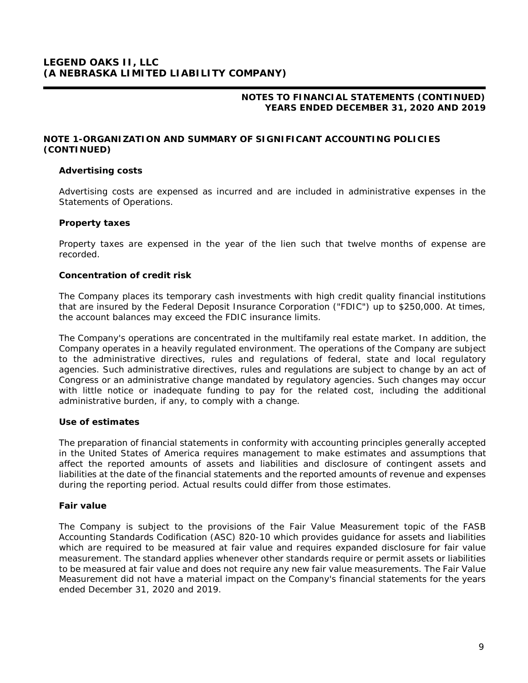# **NOTES TO FINANCIAL STATEMENTS (CONTINUED) YEARS ENDED DECEMBER 31, 2020 AND 2019**

# **NOTE 1-ORGANIZATION AND SUMMARY OF SIGNIFICANT ACCOUNTING POLICIES (CONTINUED)**

# **Advertising costs**

Advertising costs are expensed as incurred and are included in administrative expenses in the Statements of Operations.

#### **Property taxes**

Property taxes are expensed in the year of the lien such that twelve months of expense are recorded.

# **Concentration of credit risk**

The Company places its temporary cash investments with high credit quality financial institutions that are insured by the Federal Deposit Insurance Corporation ("FDIC") up to \$250,000. At times, the account balances may exceed the FDIC insurance limits.

The Company's operations are concentrated in the multifamily real estate market. In addition, the Company operates in a heavily regulated environment. The operations of the Company are subject to the administrative directives, rules and regulations of federal, state and local regulatory agencies. Such administrative directives, rules and regulations are subject to change by an act of Congress or an administrative change mandated by regulatory agencies. Such changes may occur with little notice or inadequate funding to pay for the related cost, including the additional administrative burden, if any, to comply with a change.

# **Use of estimates**

The preparation of financial statements in conformity with accounting principles generally accepted in the United States of America requires management to make estimates and assumptions that affect the reported amounts of assets and liabilities and disclosure of contingent assets and liabilities at the date of the financial statements and the reported amounts of revenue and expenses during the reporting period. Actual results could differ from those estimates.

# **Fair value**

The Company is subject to the provisions of the Fair Value Measurement topic of the FASB *Accounting Standards Codification* (ASC) 820-10 which provides guidance for assets and liabilities which are required to be measured at fair value and requires expanded disclosure for fair value measurement. The standard applies whenever other standards require or permit assets or liabilities to be measured at fair value and does not require any new fair value measurements. The Fair Value Measurement did not have a material impact on the Company's financial statements for the years ended December 31, 2020 and 2019.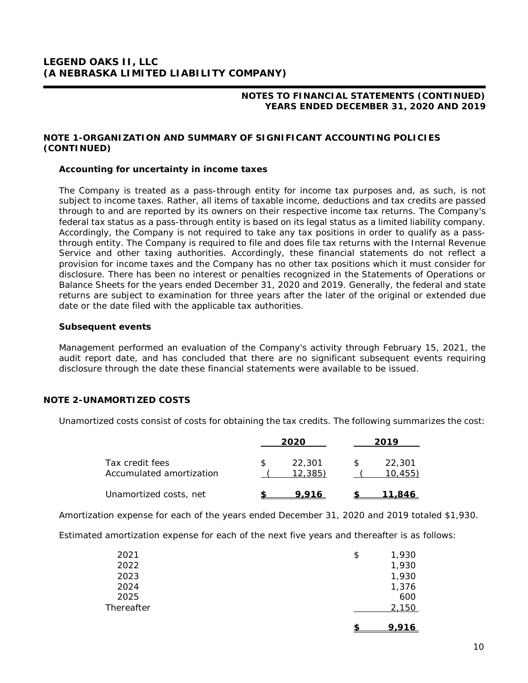# **NOTES TO FINANCIAL STATEMENTS (CONTINUED) YEARS ENDED DECEMBER 31, 2020 AND 2019**

### **NOTE 1-ORGANIZATION AND SUMMARY OF SIGNIFICANT ACCOUNTING POLICIES (CONTINUED)**

#### **Accounting for uncertainty in income taxes**

The Company is treated as a pass-through entity for income tax purposes and, as such, is not subject to income taxes. Rather, all items of taxable income, deductions and tax credits are passed through to and are reported by its owners on their respective income tax returns. The Company's federal tax status as a pass-through entity is based on its legal status as a limited liability company. Accordingly, the Company is not required to take any tax positions in order to qualify as a passthrough entity. The Company is required to file and does file tax returns with the Internal Revenue Service and other taxing authorities. Accordingly, these financial statements do not reflect a provision for income taxes and the Company has no other tax positions which it must consider for disclosure. There has been no interest or penalties recognized in the Statements of Operations or Balance Sheets for the years ended December 31, 2020 and 2019. Generally, the federal and state returns are subject to examination for three years after the later of the original or extended due date or the date filed with the applicable tax authorities.

#### **Subsequent events**

Management performed an evaluation of the Company's activity through February 15, 2021, the audit report date, and has concluded that there are no significant subsequent events requiring disclosure through the date these financial statements were available to be issued.

#### **NOTE 2-UNAMORTIZED COSTS**

Unamortized costs consist of costs for obtaining the tax credits. The following summarizes the cost:

|                                             | 2020             | 2019 |                  |  |
|---------------------------------------------|------------------|------|------------------|--|
| Tax credit fees<br>Accumulated amortization | 22,301<br>12,385 |      | 22,301<br>10.455 |  |
| Unamortized costs, net                      |                  |      |                  |  |

Amortization expense for each of the years ended December 31, 2020 and 2019 totaled \$1,930.

Estimated amortization expense for each of the next five years and thereafter is as follows:

| 2021       | \$<br>1,930 |
|------------|-------------|
| 2022       | 1,930       |
| 2023       | 1,930       |
| 2024       | 1,376       |
| 2025       | 600         |
| Thereafter | 2,150       |
|            |             |

```
$ 9,916
```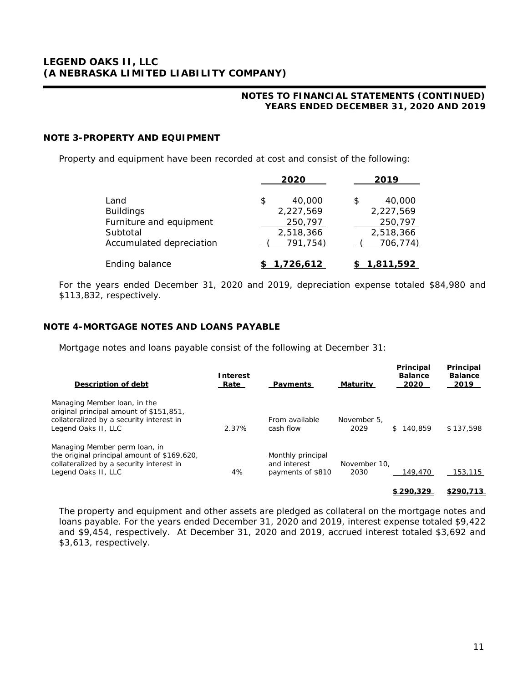# **NOTES TO FINANCIAL STATEMENTS (CONTINUED) YEARS ENDED DECEMBER 31, 2020 AND 2019**

# **NOTE 3-PROPERTY AND EQUIPMENT**

Property and equipment have been recorded at cost and consist of the following:

|                                                                                             | 2020                                                          | 2019                                                          |
|---------------------------------------------------------------------------------------------|---------------------------------------------------------------|---------------------------------------------------------------|
| Land<br><b>Buildings</b><br>Furniture and equipment<br>Subtotal<br>Accumulated depreciation | 40,000<br>\$<br>2,227,569<br>250,797<br>2,518,366<br>791,754) | 40,000<br>\$<br>2,227,569<br>250,797<br>2,518,366<br>706,774) |
| Ending balance                                                                              | <u>.726.612</u>                                               | .592                                                          |

For the years ended December 31, 2020 and 2019, depreciation expense totaled \$84,980 and \$113,832, respectively.

### **NOTE 4-MORTGAGE NOTES AND LOANS PAYABLE**

Mortgage notes and loans payable consist of the following at December 31:

| Description of debt                                                                                                                             | <b>Interest</b><br>Rate | Payments                                               | Maturity             | Principal<br><b>Balance</b><br>2020 | Principal<br><b>Balance</b><br>2019 |
|-------------------------------------------------------------------------------------------------------------------------------------------------|-------------------------|--------------------------------------------------------|----------------------|-------------------------------------|-------------------------------------|
| Managing Member Ioan, in the<br>original principal amount of \$151,851,<br>collateralized by a security interest in<br>Legend Oaks II, LLC      | 2.37%                   | From available<br>cash flow                            | November 5.<br>2029  | 140.859<br>\$                       | \$137,598                           |
| Managing Member perm loan, in<br>the original principal amount of \$169,620,<br>collateralized by a security interest in<br>Legend Oaks II, LLC | 4%                      | Monthly principal<br>and interest<br>payments of \$810 | November 10.<br>2030 | 149,470                             | 153,115                             |
|                                                                                                                                                 |                         |                                                        |                      | \$290.329                           | \$290.713                           |

The property and equipment and other assets are pledged as collateral on the mortgage notes and loans payable. For the years ended December 31, 2020 and 2019, interest expense totaled \$9,422 and \$9,454, respectively. At December 31, 2020 and 2019, accrued interest totaled \$3,692 and \$3,613, respectively.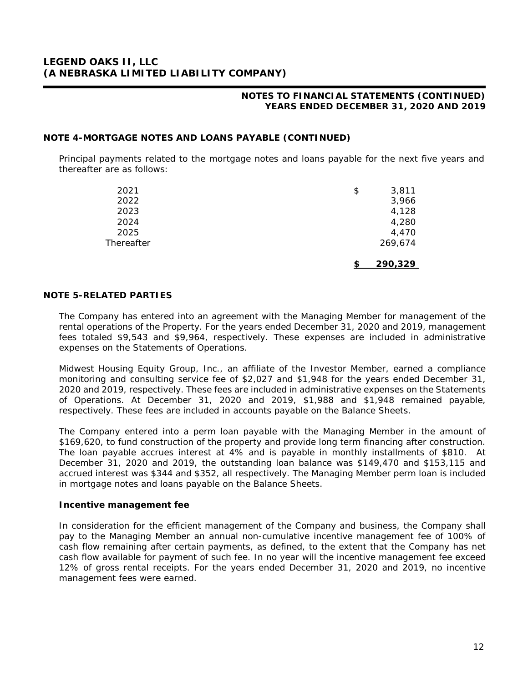# **NOTES TO FINANCIAL STATEMENTS (CONTINUED) YEARS ENDED DECEMBER 31, 2020 AND 2019**

### **NOTE 4-MORTGAGE NOTES AND LOANS PAYABLE (CONTINUED)**

Principal payments related to the mortgage notes and loans payable for the next five years and thereafter are as follows:

| 2021       | \$<br>3,811    |
|------------|----------------|
| 2022       | 3,966          |
| 2023       | 4,128          |
| 2024       | 4,280          |
| 2025       | 4,470          |
| Thereafter | 269,674        |
|            |                |
|            | <u>290.329</u> |

#### **NOTE 5-RELATED PARTIES**

The Company has entered into an agreement with the Managing Member for management of the rental operations of the Property. For the years ended December 31, 2020 and 2019, management fees totaled \$9,543 and \$9,964, respectively. These expenses are included in administrative expenses on the Statements of Operations.

Midwest Housing Equity Group, Inc., an affiliate of the Investor Member, earned a compliance monitoring and consulting service fee of \$2,027 and \$1,948 for the years ended December 31, 2020 and 2019, respectively. These fees are included in administrative expenses on the Statements of Operations. At December 31, 2020 and 2019, \$1,988 and \$1,948 remained payable, respectively. These fees are included in accounts payable on the Balance Sheets.

The Company entered into a perm loan payable with the Managing Member in the amount of \$169,620, to fund construction of the property and provide long term financing after construction. The loan payable accrues interest at 4% and is payable in monthly installments of \$810. At December 31, 2020 and 2019, the outstanding loan balance was \$149,470 and \$153,115 and accrued interest was \$344 and \$352, all respectively. The Managing Member perm loan is included in mortgage notes and loans payable on the Balance Sheets.

#### **Incentive management fee**

In consideration for the efficient management of the Company and business, the Company shall pay to the Managing Member an annual non-cumulative incentive management fee of 100% of cash flow remaining after certain payments, as defined, to the extent that the Company has net cash flow available for payment of such fee. In no year will the incentive management fee exceed 12% of gross rental receipts. For the years ended December 31, 2020 and 2019, no incentive management fees were earned.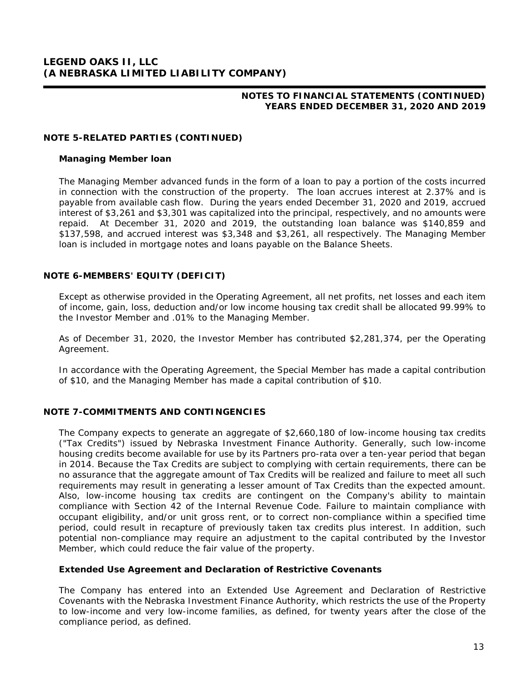# **NOTES TO FINANCIAL STATEMENTS (CONTINUED) YEARS ENDED DECEMBER 31, 2020 AND 2019**

# **NOTE 5-RELATED PARTIES (CONTINUED)**

#### **Managing Member loan**

The Managing Member advanced funds in the form of a loan to pay a portion of the costs incurred in connection with the construction of the property. The loan accrues interest at 2.37% and is payable from available cash flow. During the years ended December 31, 2020 and 2019, accrued interest of \$3,261 and \$3,301 was capitalized into the principal, respectively, and no amounts were repaid. At December 31, 2020 and 2019, the outstanding loan balance was \$140,859 and \$137,598, and accrued interest was \$3,348 and \$3,261, all respectively. The Managing Member loan is included in mortgage notes and loans payable on the Balance Sheets.

# **NOTE 6-MEMBERS' EQUITY (DEFICIT)**

Except as otherwise provided in the Operating Agreement, all net profits, net losses and each item of income, gain, loss, deduction and/or low income housing tax credit shall be allocated 99.99% to the Investor Member and .01% to the Managing Member.

As of December 31, 2020, the Investor Member has contributed \$2,281,374, per the Operating Agreement.

In accordance with the Operating Agreement, the Special Member has made a capital contribution of \$10, and the Managing Member has made a capital contribution of \$10.

# **NOTE 7-COMMITMENTS AND CONTINGENCIES**

The Company expects to generate an aggregate of \$2,660,180 of low-income housing tax credits ("Tax Credits") issued by Nebraska Investment Finance Authority. Generally, such low-income housing credits become available for use by its Partners pro-rata over a ten-year period that began in 2014. Because the Tax Credits are subject to complying with certain requirements, there can be no assurance that the aggregate amount of Tax Credits will be realized and failure to meet all such requirements may result in generating a lesser amount of Tax Credits than the expected amount. Also, low-income housing tax credits are contingent on the Company's ability to maintain compliance with Section 42 of the Internal Revenue Code. Failure to maintain compliance with occupant eligibility, and/or unit gross rent, or to correct non-compliance within a specified time period, could result in recapture of previously taken tax credits plus interest. In addition, such potential non-compliance may require an adjustment to the capital contributed by the Investor Member, which could reduce the fair value of the property.

# **Extended Use Agreement and Declaration of Restrictive Covenants**

The Company has entered into an Extended Use Agreement and Declaration of Restrictive Covenants with the Nebraska Investment Finance Authority, which restricts the use of the Property to low-income and very low-income families, as defined, for twenty years after the close of the compliance period, as defined.